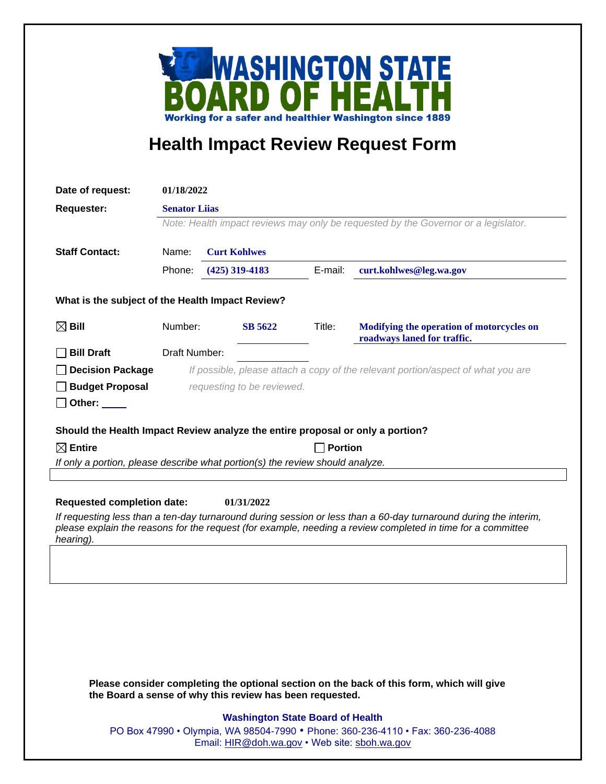

## **Health Impact Review Request Form**

| Date of request:                                                                                                                                                                                                                                                                   | 01/18/2022                                                                                                 |  |                     |         |                                                                          |  |
|------------------------------------------------------------------------------------------------------------------------------------------------------------------------------------------------------------------------------------------------------------------------------------|------------------------------------------------------------------------------------------------------------|--|---------------------|---------|--------------------------------------------------------------------------|--|
| <b>Requester:</b>                                                                                                                                                                                                                                                                  | <b>Senator Liias</b><br>Note: Health impact reviews may only be requested by the Governor or a legislator. |  |                     |         |                                                                          |  |
|                                                                                                                                                                                                                                                                                    |                                                                                                            |  |                     |         |                                                                          |  |
|                                                                                                                                                                                                                                                                                    |                                                                                                            |  |                     |         |                                                                          |  |
| <b>Staff Contact:</b>                                                                                                                                                                                                                                                              | Name:                                                                                                      |  | <b>Curt Kohlwes</b> |         |                                                                          |  |
|                                                                                                                                                                                                                                                                                    | Phone:                                                                                                     |  | $(425)$ 319-4183    | E-mail: | curt.kohlwes@leg.wa.gov                                                  |  |
| What is the subject of the Health Impact Review?                                                                                                                                                                                                                                   |                                                                                                            |  |                     |         |                                                                          |  |
| $\boxtimes$ Bill                                                                                                                                                                                                                                                                   | Number:                                                                                                    |  | <b>SB 5622</b>      | Title:  | Modifying the operation of motorcycles on<br>roadways laned for traffic. |  |
| <b>Bill Draft</b>                                                                                                                                                                                                                                                                  | Draft Number:                                                                                              |  |                     |         |                                                                          |  |
| <b>Decision Package</b>                                                                                                                                                                                                                                                            | If possible, please attach a copy of the relevant portion/aspect of what you are                           |  |                     |         |                                                                          |  |
| <b>Budget Proposal</b>                                                                                                                                                                                                                                                             | requesting to be reviewed.                                                                                 |  |                     |         |                                                                          |  |
| Other: $\_\_$                                                                                                                                                                                                                                                                      |                                                                                                            |  |                     |         |                                                                          |  |
|                                                                                                                                                                                                                                                                                    |                                                                                                            |  |                     |         |                                                                          |  |
| Should the Health Impact Review analyze the entire proposal or only a portion?                                                                                                                                                                                                     |                                                                                                            |  |                     |         |                                                                          |  |
| $\boxtimes$ Entire<br><b>Portion</b><br>If only a portion, please describe what portion(s) the review should analyze.                                                                                                                                                              |                                                                                                            |  |                     |         |                                                                          |  |
|                                                                                                                                                                                                                                                                                    |                                                                                                            |  |                     |         |                                                                          |  |
| <b>Requested completion date:</b><br>01/31/2022<br>If requesting less than a ten-day turnaround during session or less than a 60-day turnaround during the interim,<br>please explain the reasons for the request (for example, needing a review completed in time for a committee |                                                                                                            |  |                     |         |                                                                          |  |
| hearing).                                                                                                                                                                                                                                                                          |                                                                                                            |  |                     |         |                                                                          |  |
|                                                                                                                                                                                                                                                                                    |                                                                                                            |  |                     |         |                                                                          |  |
|                                                                                                                                                                                                                                                                                    |                                                                                                            |  |                     |         |                                                                          |  |
|                                                                                                                                                                                                                                                                                    |                                                                                                            |  |                     |         |                                                                          |  |
|                                                                                                                                                                                                                                                                                    |                                                                                                            |  |                     |         |                                                                          |  |
|                                                                                                                                                                                                                                                                                    |                                                                                                            |  |                     |         |                                                                          |  |
|                                                                                                                                                                                                                                                                                    |                                                                                                            |  |                     |         |                                                                          |  |
|                                                                                                                                                                                                                                                                                    |                                                                                                            |  |                     |         |                                                                          |  |
| Please consider completing the optional section on the back of this form, which will give<br>the Board a sense of why this review has been requested.                                                                                                                              |                                                                                                            |  |                     |         |                                                                          |  |
|                                                                                                                                                                                                                                                                                    | <b>Washington State Board of Health</b>                                                                    |  |                     |         |                                                                          |  |
|                                                                                                                                                                                                                                                                                    | PO Box 47990 • Olympia, WA 98504-7990 • Phone: 360-236-4110 • Fax: 360-236-4088                            |  |                     |         |                                                                          |  |
| Email: HIR@doh.wa.gov • Web site: sboh.wa.gov                                                                                                                                                                                                                                      |                                                                                                            |  |                     |         |                                                                          |  |